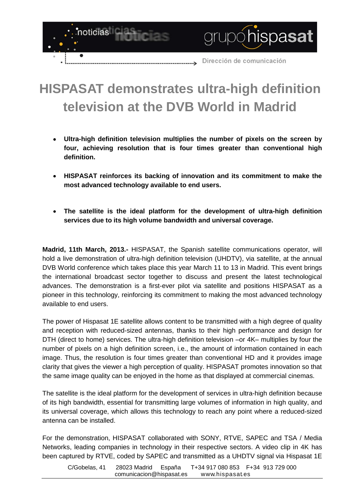

## **HISPASAT demonstrates ultra-high definition television at the DVB World in Madrid**

- **Ultra-high definition television multiplies the number of pixels on the screen by four, achieving resolution that is four times greater than conventional high definition.**
- **HISPASAT reinforces its backing of innovation and its commitment to make the most advanced technology available to end users.**
- **The satellite is the ideal platform for the development of ultra-high definition services due to its high volume bandwidth and universal coverage.**

**Madrid, 11th March, 2013.-** HISPASAT, the Spanish satellite communications operator, will hold a live demonstration of ultra-high definition television (UHDTV), via satellite, at the annual DVB World conference which takes place this year March 11 to 13 in Madrid. This event brings the international broadcast sector together to discuss and present the latest technological advances. The demonstration is a first-ever pilot via satellite and positions HISPASAT as a pioneer in this technology, reinforcing its commitment to making the most advanced technology available to end users.

The power of Hispasat 1E satellite allows content to be transmitted with a high degree of quality and reception with reduced-sized antennas, thanks to their high performance and design for DTH (direct to home) services. The ultra-high definition television –or 4K– multiplies by four the number of pixels on a high definition screen, i.e., the amount of information contained in each image. Thus, the resolution is four times greater than conventional HD and it provides image clarity that gives the viewer a high perception of quality. HISPASAT promotes innovation so that the same image quality can be enjoyed in the home as that displayed at commercial cinemas.

The satellite is the ideal platform for the development of services in ultra-high definition because of its high bandwidth, essential for transmitting large volumes of information in high quality, and its universal coverage, which allows this technology to reach any point where a reduced-sized antenna can be installed.

For the demonstration, HISPASAT collaborated with SONY, RTVE, SAPEC and TSA / Media Networks, leading companies in technology in their respective sectors. A video clip in 4K has been captured by RTVE, coded by SAPEC and transmitted as a UHDTV signal via Hispasat 1E

C/Gobelas, 41 28023 Madrid España T+34 917 080 853 F+34 913 729 000 comunicacion@hispasat.es www.hispasat.es